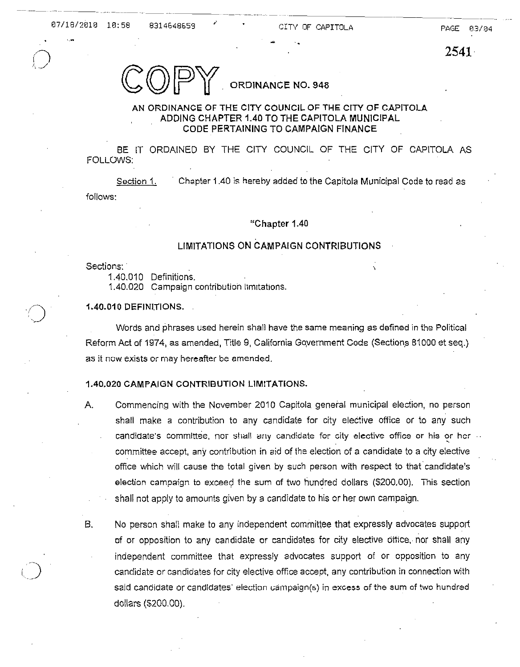, .

2541

ORDINANCE NO. 948

# AN ORDINANCE OF THE CITY COUNCIL OF THE CITY OF CAPITOLA ADDING CHAPTER 1.40 TO THE CAPITOLA MUNICIPAL CODE PERTAINING TO CAMPAIGN FINANCE

BE IT ORDAINED BY THE CITY COUNCIL OF THE CITY OF CAPITOLA AS FOLLOWS:

Section 1. Chapter 1.40 is hereby added to the Capitola Municipal Code to read as follows:

## "Chapter 1.40

# LIMITATIONS ON CAMPAIGN CONTRIBUTIONS

Sections: '

1.40.010 Definitions.

1.40.020 Campaign contribution limitations.

### 1.40.010 DEFINITIONS.

Words and phrases used herein shall have the same meaning as defined in the Political Reform Act of 1974, as amended, Title 9, California Government Code (Sections 81000 et seq.) as it now exists or may hereafter be amended.

### 1.40.020 CAMPAIGN CONTRIBUTION LIMITATIONS.

- A. Commencing with the November 2010 Capitola general municipal election, no person shall make a contribution to any candidate for city elective office or to any such candidate's committee, nor shall any candidate for city elective office or his or her committee accept, any contribution in aid of the election of a candidate to a city elective office which will cause the total given by such person with respect to that candidate's election campaign to exceed the sum of two hundred dollars (5200.00). This section shall not apply to amounts given by a candidate to his or her own campaign.
- B. No person shall make to any independent committee that expressly advocates support of or opposition to any can didate or candidates for city elective ottice, nor shall any independent committee that expressly advocates support of or opposition to any candidate or candidates for city elective office accept, any contribution in connection with said candidate or candidates' election campaign(s) in excess of the sum of two hundred dollars (\$200.00).